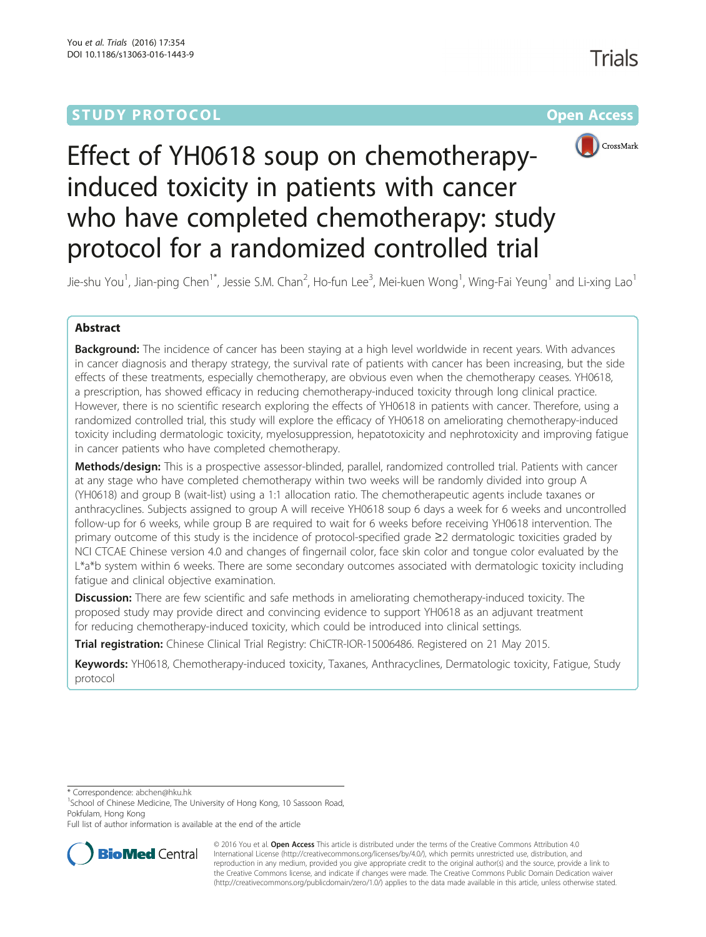# **STUDY PROTOCOL CONSUMING THE RESERVE ACCESS**



# Effect of YH0618 soup on chemotherapyinduced toxicity in patients with cancer who have completed chemotherapy: study protocol for a randomized controlled trial

Jie-shu You<sup>1</sup>, Jian-ping Chen<sup>1\*</sup>, Jessie S.M. Chan<sup>2</sup>, Ho-fun Lee<sup>3</sup>, Mei-kuen Wong<sup>1</sup>, Wing-Fai Yeung<sup>1</sup> and Li-xing Lao<sup>1</sup>

# Abstract

Background: The incidence of cancer has been staying at a high level worldwide in recent years. With advances in cancer diagnosis and therapy strategy, the survival rate of patients with cancer has been increasing, but the side effects of these treatments, especially chemotherapy, are obvious even when the chemotherapy ceases. YH0618, a prescription, has showed efficacy in reducing chemotherapy-induced toxicity through long clinical practice. However, there is no scientific research exploring the effects of YH0618 in patients with cancer. Therefore, using a randomized controlled trial, this study will explore the efficacy of YH0618 on ameliorating chemotherapy-induced toxicity including dermatologic toxicity, myelosuppression, hepatotoxicity and nephrotoxicity and improving fatigue in cancer patients who have completed chemotherapy.

Methods/design: This is a prospective assessor-blinded, parallel, randomized controlled trial. Patients with cancer at any stage who have completed chemotherapy within two weeks will be randomly divided into group A (YH0618) and group B (wait-list) using a 1:1 allocation ratio. The chemotherapeutic agents include taxanes or anthracyclines. Subjects assigned to group A will receive YH0618 soup 6 days a week for 6 weeks and uncontrolled follow-up for 6 weeks, while group B are required to wait for 6 weeks before receiving YH0618 intervention. The primary outcome of this study is the incidence of protocol-specified grade ≥2 dermatologic toxicities graded by NCI CTCAE Chinese version 4.0 and changes of fingernail color, face skin color and tongue color evaluated by the L\*a\*b system within 6 weeks. There are some secondary outcomes associated with dermatologic toxicity including fatigue and clinical objective examination.

**Discussion:** There are few scientific and safe methods in ameliorating chemotherapy-induced toxicity. The proposed study may provide direct and convincing evidence to support YH0618 as an adjuvant treatment for reducing chemotherapy-induced toxicity, which could be introduced into clinical settings.

Trial registration: Chinese Clinical Trial Registry: [ChiCTR-IOR-15006486.](http://www.chictr.org.cn/showprojen.aspx?proj=11026) Registered on 21 May 2015.

Keywords: YH0618, Chemotherapy-induced toxicity, Taxanes, Anthracyclines, Dermatologic toxicity, Fatigue, Study protocol

\* Correspondence: [abchen@hku.hk](mailto:abchen@hku.hk) <sup>1</sup>

<sup>1</sup>School of Chinese Medicine, The University of Hong Kong, 10 Sassoon Road, Pokfulam, Hong Kong

Full list of author information is available at the end of the article



© 2016 You et al. Open Access This article is distributed under the terms of the Creative Commons Attribution 4.0 International License [\(http://creativecommons.org/licenses/by/4.0/](http://creativecommons.org/licenses/by/4.0/)), which permits unrestricted use, distribution, and reproduction in any medium, provided you give appropriate credit to the original author(s) and the source, provide a link to the Creative Commons license, and indicate if changes were made. The Creative Commons Public Domain Dedication waiver [\(http://creativecommons.org/publicdomain/zero/1.0/](http://creativecommons.org/publicdomain/zero/1.0/)) applies to the data made available in this article, unless otherwise stated.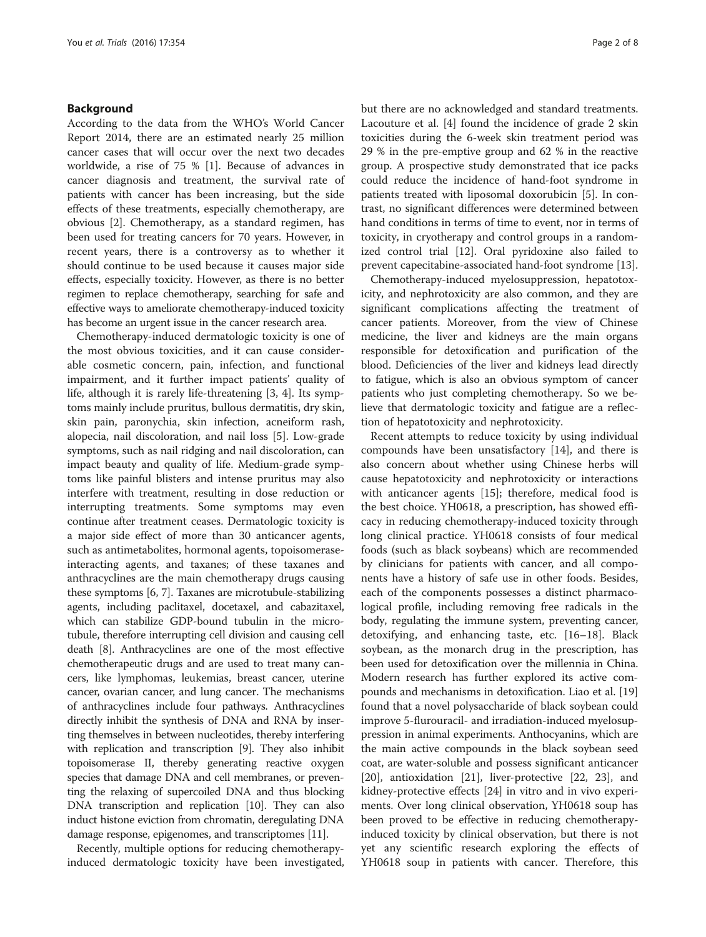# Background

According to the data from the WHO's World Cancer Report 2014, there are an estimated nearly 25 million cancer cases that will occur over the next two decades worldwide, a rise of 75 % [\[1](#page-6-0)]. Because of advances in cancer diagnosis and treatment, the survival rate of patients with cancer has been increasing, but the side effects of these treatments, especially chemotherapy, are obvious [[2](#page-6-0)]. Chemotherapy, as a standard regimen, has been used for treating cancers for 70 years. However, in recent years, there is a controversy as to whether it should continue to be used because it causes major side effects, especially toxicity. However, as there is no better regimen to replace chemotherapy, searching for safe and effective ways to ameliorate chemotherapy-induced toxicity has become an urgent issue in the cancer research area.

Chemotherapy-induced dermatologic toxicity is one of the most obvious toxicities, and it can cause considerable cosmetic concern, pain, infection, and functional impairment, and it further impact patients' quality of life, although it is rarely life-threatening [[3](#page-6-0), [4](#page-6-0)]. Its symptoms mainly include pruritus, bullous dermatitis, dry skin, skin pain, paronychia, skin infection, acneiform rash, alopecia, nail discoloration, and nail loss [\[5](#page-6-0)]. Low-grade symptoms, such as nail ridging and nail discoloration, can impact beauty and quality of life. Medium-grade symptoms like painful blisters and intense pruritus may also interfere with treatment, resulting in dose reduction or interrupting treatments. Some symptoms may even continue after treatment ceases. Dermatologic toxicity is a major side effect of more than 30 anticancer agents, such as antimetabolites, hormonal agents, topoisomeraseinteracting agents, and taxanes; of these taxanes and anthracyclines are the main chemotherapy drugs causing these symptoms [[6](#page-6-0), [7\]](#page-6-0). Taxanes are microtubule-stabilizing agents, including paclitaxel, docetaxel, and cabazitaxel, which can stabilize GDP-bound tubulin in the microtubule, therefore interrupting cell division and causing cell death [[8\]](#page-6-0). Anthracyclines are one of the most effective chemotherapeutic drugs and are used to treat many cancers, like lymphomas, leukemias, breast cancer, uterine cancer, ovarian cancer, and lung cancer. The mechanisms of anthracyclines include four pathways. Anthracyclines directly inhibit the synthesis of DNA and RNA by inserting themselves in between nucleotides, thereby interfering with replication and transcription [[9](#page-6-0)]. They also inhibit topoisomerase II, thereby generating reactive oxygen species that damage DNA and cell membranes, or preventing the relaxing of supercoiled DNA and thus blocking DNA transcription and replication [\[10\]](#page-6-0). They can also induct histone eviction from chromatin, deregulating DNA damage response, epigenomes, and transcriptomes [[11](#page-6-0)].

Recently, multiple options for reducing chemotherapyinduced dermatologic toxicity have been investigated, but there are no acknowledged and standard treatments. Lacouture et al. [\[4](#page-6-0)] found the incidence of grade 2 skin toxicities during the 6-week skin treatment period was 29 % in the pre-emptive group and 62 % in the reactive group. A prospective study demonstrated that ice packs could reduce the incidence of hand-foot syndrome in patients treated with liposomal doxorubicin [\[5\]](#page-6-0). In contrast, no significant differences were determined between hand conditions in terms of time to event, nor in terms of toxicity, in cryotherapy and control groups in a randomized control trial [\[12](#page-6-0)]. Oral pyridoxine also failed to prevent capecitabine-associated hand-foot syndrome [\[13](#page-6-0)].

Chemotherapy-induced myelosuppression, hepatotoxicity, and nephrotoxicity are also common, and they are significant complications affecting the treatment of cancer patients. Moreover, from the view of Chinese medicine, the liver and kidneys are the main organs responsible for detoxification and purification of the blood. Deficiencies of the liver and kidneys lead directly to fatigue, which is also an obvious symptom of cancer patients who just completing chemotherapy. So we believe that dermatologic toxicity and fatigue are a reflection of hepatotoxicity and nephrotoxicity.

Recent attempts to reduce toxicity by using individual compounds have been unsatisfactory [[14\]](#page-6-0), and there is also concern about whether using Chinese herbs will cause hepatotoxicity and nephrotoxicity or interactions with anticancer agents [[15](#page-6-0)]; therefore, medical food is the best choice. YH0618, a prescription, has showed efficacy in reducing chemotherapy-induced toxicity through long clinical practice. YH0618 consists of four medical foods (such as black soybeans) which are recommended by clinicians for patients with cancer, and all components have a history of safe use in other foods. Besides, each of the components possesses a distinct pharmacological profile, including removing free radicals in the body, regulating the immune system, preventing cancer, detoxifying, and enhancing taste, etc. [\[16](#page-6-0)–[18\]](#page-6-0). Black soybean, as the monarch drug in the prescription, has been used for detoxification over the millennia in China. Modern research has further explored its active compounds and mechanisms in detoxification. Liao et al. [[19](#page-7-0)] found that a novel polysaccharide of black soybean could improve 5-flurouracil- and irradiation-induced myelosuppression in animal experiments. Anthocyanins, which are the main active compounds in the black soybean seed coat, are water-soluble and possess significant anticancer [[20\]](#page-7-0), antioxidation [\[21\]](#page-7-0), liver-protective [\[22, 23](#page-7-0)], and kidney-protective effects [\[24\]](#page-7-0) in vitro and in vivo experiments. Over long clinical observation, YH0618 soup has been proved to be effective in reducing chemotherapyinduced toxicity by clinical observation, but there is not yet any scientific research exploring the effects of YH0618 soup in patients with cancer. Therefore, this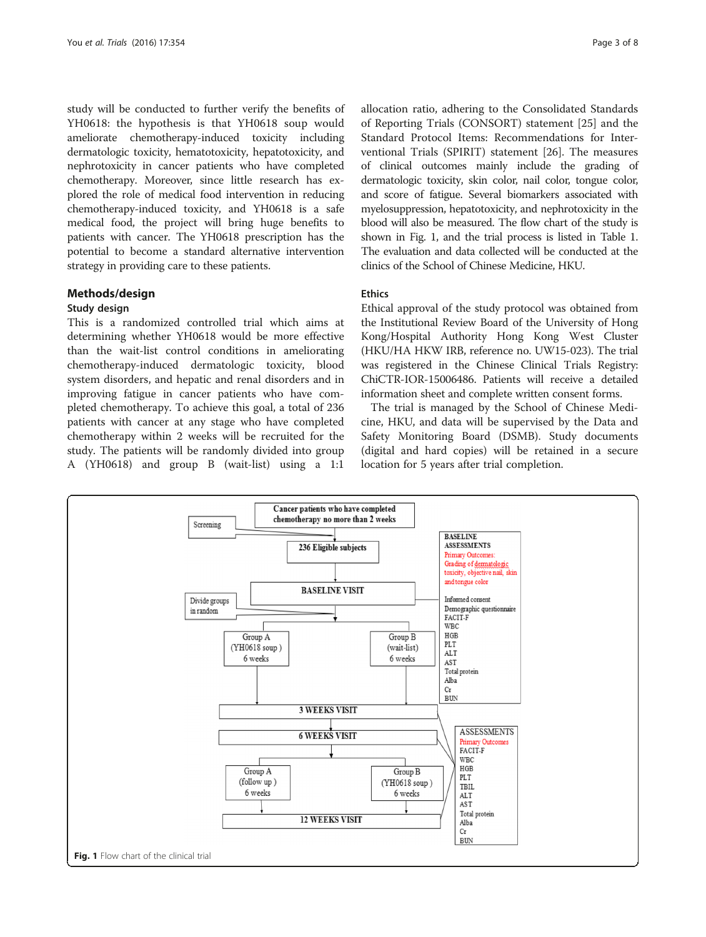study will be conducted to further verify the benefits of YH0618: the hypothesis is that YH0618 soup would ameliorate chemotherapy-induced toxicity including dermatologic toxicity, hematotoxicity, hepatotoxicity, and nephrotoxicity in cancer patients who have completed chemotherapy. Moreover, since little research has explored the role of medical food intervention in reducing chemotherapy-induced toxicity, and YH0618 is a safe medical food, the project will bring huge benefits to patients with cancer. The YH0618 prescription has the potential to become a standard alternative intervention strategy in providing care to these patients.

## Methods/design

# Study design

This is a randomized controlled trial which aims at determining whether YH0618 would be more effective than the wait-list control conditions in ameliorating chemotherapy-induced dermatologic toxicity, blood system disorders, and hepatic and renal disorders and in improving fatigue in cancer patients who have completed chemotherapy. To achieve this goal, a total of 236 patients with cancer at any stage who have completed chemotherapy within 2 weeks will be recruited for the study. The patients will be randomly divided into group A (YH0618) and group B (wait-list) using a 1:1

allocation ratio, adhering to the Consolidated Standards of Reporting Trials (CONSORT) statement [[25](#page-7-0)] and the Standard Protocol Items: Recommendations for Interventional Trials (SPIRIT) statement [\[26\]](#page-7-0). The measures of clinical outcomes mainly include the grading of dermatologic toxicity, skin color, nail color, tongue color, and score of fatigue. Several biomarkers associated with myelosuppression, hepatotoxicity, and nephrotoxicity in the blood will also be measured. The flow chart of the study is shown in Fig. 1, and the trial process is listed in Table [1](#page-3-0). The evaluation and data collected will be conducted at the clinics of the School of Chinese Medicine, HKU.

# Ethics

Ethical approval of the study protocol was obtained from the Institutional Review Board of the University of Hong Kong/Hospital Authority Hong Kong West Cluster (HKU/HA HKW IRB, reference no. UW15-023). The trial was registered in the Chinese Clinical Trials Registry: ChiCTR-IOR-15006486. Patients will receive a detailed information sheet and complete written consent forms.

The trial is managed by the School of Chinese Medicine, HKU, and data will be supervised by the Data and Safety Monitoring Board (DSMB). Study documents (digital and hard copies) will be retained in a secure location for 5 years after trial completion.

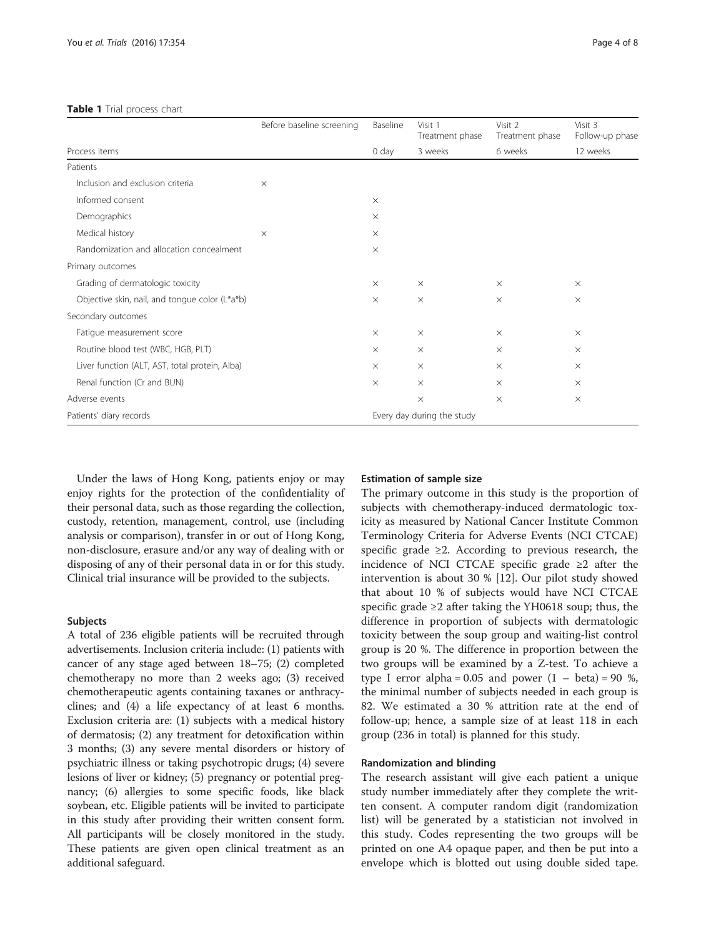#### <span id="page-3-0"></span>Table 1 Trial process chart

|                                                | Before baseline screening | Baseline                   | Visit 1<br>Treatment phase | Visit 2<br>Treatment phase | Visit 3<br>Follow-up phase |
|------------------------------------------------|---------------------------|----------------------------|----------------------------|----------------------------|----------------------------|
| Process items                                  |                           | 0 day                      | 3 weeks                    | 6 weeks                    | 12 weeks                   |
| Patients                                       |                           |                            |                            |                            |                            |
| Inclusion and exclusion criteria               | $\times$                  |                            |                            |                            |                            |
| Informed consent                               |                           | $\times$                   |                            |                            |                            |
| Demographics                                   |                           | $\times$                   |                            |                            |                            |
| Medical history                                | $\times$                  | $\times$                   |                            |                            |                            |
| Randomization and allocation concealment       |                           | $\times$                   |                            |                            |                            |
| Primary outcomes                               |                           |                            |                            |                            |                            |
| Grading of dermatologic toxicity               |                           | $\times$                   | $\times$                   | $\times$                   | $\times$                   |
| Objective skin, nail, and tongue color (L*a*b) |                           | $\times$                   | $\times$                   | $\times$                   | $\times$                   |
| Secondary outcomes                             |                           |                            |                            |                            |                            |
| Fatigue measurement score                      |                           | $\times$                   | $\times$                   | $\times$                   | $\times$                   |
| Routine blood test (WBC, HGB, PLT)             |                           | $\times$                   | $\times$                   | $\times$                   | $\times$                   |
| Liver function (ALT, AST, total protein, Alba) |                           | $\times$                   | $\times$                   | $\times$                   | $\times$                   |
| Renal function (Cr and BUN)                    |                           | $\times$                   | $\times$                   | $\times$                   | $\times$                   |
| Adverse events                                 |                           |                            | $\times$                   | $\times$                   | $\times$                   |
| Patients' diary records                        |                           | Every day during the study |                            |                            |                            |

Under the laws of Hong Kong, patients enjoy or may enjoy rights for the protection of the confidentiality of their personal data, such as those regarding the collection, custody, retention, management, control, use (including analysis or comparison), transfer in or out of Hong Kong, non-disclosure, erasure and/or any way of dealing with or disposing of any of their personal data in or for this study. Clinical trial insurance will be provided to the subjects.

#### Subjects

A total of 236 eligible patients will be recruited through advertisements. Inclusion criteria include: (1) patients with cancer of any stage aged between 18–75; (2) completed chemotherapy no more than 2 weeks ago; (3) received chemotherapeutic agents containing taxanes or anthracyclines; and (4) a life expectancy of at least 6 months. Exclusion criteria are: (1) subjects with a medical history of dermatosis; (2) any treatment for detoxification within 3 months; (3) any severe mental disorders or history of psychiatric illness or taking psychotropic drugs; (4) severe lesions of liver or kidney; (5) pregnancy or potential pregnancy; (6) allergies to some specific foods, like black soybean, etc. Eligible patients will be invited to participate in this study after providing their written consent form. All participants will be closely monitored in the study. These patients are given open clinical treatment as an additional safeguard.

#### Estimation of sample size

The primary outcome in this study is the proportion of subjects with chemotherapy-induced dermatologic toxicity as measured by National Cancer Institute Common Terminology Criteria for Adverse Events (NCI CTCAE) specific grade  $\geq 2$ . According to previous research, the incidence of NCI CTCAE specific grade  $\geq 2$  after the intervention is about 30 % [[12](#page-6-0)]. Our pilot study showed that about 10 % of subjects would have NCI CTCAE specific grade ≥2 after taking the YH0618 soup; thus, the difference in proportion of subjects with dermatologic toxicity between the soup group and waiting-list control group is 20 %. The difference in proportion between the two groups will be examined by a Z-test. To achieve a type I error alpha =  $0.05$  and power  $(1 - \text{beta}) = 90$  %, the minimal number of subjects needed in each group is 82. We estimated a 30 % attrition rate at the end of follow-up; hence, a sample size of at least 118 in each group (236 in total) is planned for this study.

# Randomization and blinding

The research assistant will give each patient a unique study number immediately after they complete the written consent. A computer random digit (randomization list) will be generated by a statistician not involved in this study. Codes representing the two groups will be printed on one A4 opaque paper, and then be put into a envelope which is blotted out using double sided tape.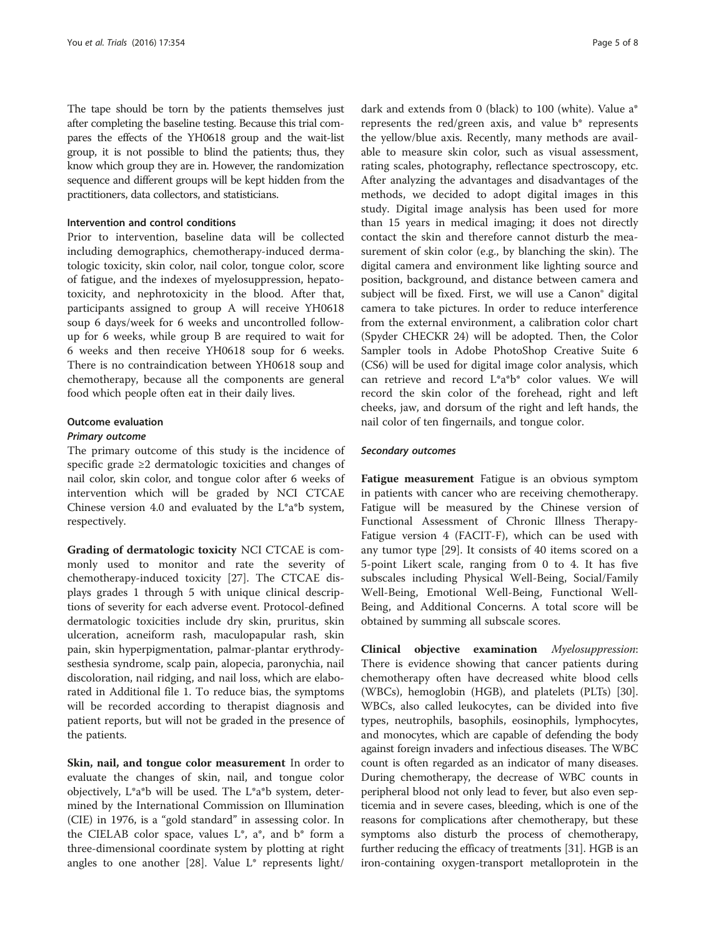The tape should be torn by the patients themselves just after completing the baseline testing. Because this trial compares the effects of the YH0618 group and the wait-list group, it is not possible to blind the patients; thus, they know which group they are in. However, the randomization sequence and different groups will be kept hidden from the practitioners, data collectors, and statisticians.

## Intervention and control conditions

Prior to intervention, baseline data will be collected including demographics, chemotherapy-induced dermatologic toxicity, skin color, nail color, tongue color, score of fatigue, and the indexes of myelosuppression, hepatotoxicity, and nephrotoxicity in the blood. After that, participants assigned to group A will receive YH0618 soup 6 days/week for 6 weeks and uncontrolled followup for 6 weeks, while group B are required to wait for 6 weeks and then receive YH0618 soup for 6 weeks. There is no contraindication between YH0618 soup and chemotherapy, because all the components are general food which people often eat in their daily lives.

# Outcome evaluation

#### Primary outcome

The primary outcome of this study is the incidence of specific grade ≥2 dermatologic toxicities and changes of nail color, skin color, and tongue color after 6 weeks of intervention which will be graded by NCI CTCAE Chinese version 4.0 and evaluated by the L\*a\*b system, respectively.

Grading of dermatologic toxicity NCI CTCAE is commonly used to monitor and rate the severity of chemotherapy-induced toxicity [\[27\]](#page-7-0). The CTCAE displays grades 1 through 5 with unique clinical descriptions of severity for each adverse event. Protocol-defined dermatologic toxicities include dry skin, pruritus, skin ulceration, acneiform rash, maculopapular rash, skin pain, skin hyperpigmentation, palmar-plantar erythrodysesthesia syndrome, scalp pain, alopecia, paronychia, nail discoloration, nail ridging, and nail loss, which are elaborated in Additional file [1](#page-6-0). To reduce bias, the symptoms will be recorded according to therapist diagnosis and patient reports, but will not be graded in the presence of the patients.

Skin, nail, and tongue color measurement In order to evaluate the changes of skin, nail, and tongue color objectively, L\*a\*b will be used. The L\*a\*b system, determined by the International Commission on Illumination (CIE) in 1976, is a "gold standard" in assessing color. In the CIELAB color space, values  $L^*$ ,  $a^*$ , and  $b^*$  form a three-dimensional coordinate system by plotting at right angles to one another  $[28]$  $[28]$ . Value  $L^*$  represents light/ dark and extends from 0 (black) to 100 (white). Value a\* represents the red/green axis, and value b\* represents the yellow/blue axis. Recently, many methods are available to measure skin color, such as visual assessment, rating scales, photography, reflectance spectroscopy, etc. After analyzing the advantages and disadvantages of the methods, we decided to adopt digital images in this study. Digital image analysis has been used for more than 15 years in medical imaging; it does not directly contact the skin and therefore cannot disturb the measurement of skin color (e.g., by blanching the skin). The digital camera and environment like lighting source and position, background, and distance between camera and subject will be fixed. First, we will use a Canon® digital camera to take pictures. In order to reduce interference from the external environment, a calibration color chart (Spyder CHECKR 24) will be adopted. Then, the Color Sampler tools in Adobe PhotoShop Creative Suite 6 (CS6) will be used for digital image color analysis, which can retrieve and record L\*a\*b\* color values. We will record the skin color of the forehead, right and left cheeks, jaw, and dorsum of the right and left hands, the nail color of ten fingernails, and tongue color.

#### Secondary outcomes

Fatigue measurement Fatigue is an obvious symptom in patients with cancer who are receiving chemotherapy. Fatigue will be measured by the Chinese version of Functional Assessment of Chronic Illness Therapy-Fatigue version 4 (FACIT-F), which can be used with any tumor type [\[29](#page-7-0)]. It consists of 40 items scored on a 5-point Likert scale, ranging from 0 to 4. It has five subscales including Physical Well-Being, Social/Family Well-Being, Emotional Well-Being, Functional Well-Being, and Additional Concerns. A total score will be obtained by summing all subscale scores.

Clinical objective examination Myelosuppression: There is evidence showing that cancer patients during chemotherapy often have decreased white blood cells (WBCs), hemoglobin (HGB), and platelets (PLTs) [\[30](#page-7-0)]. WBCs, also called leukocytes, can be divided into five types, neutrophils, basophils, eosinophils, lymphocytes, and monocytes, which are capable of defending the body against foreign invaders and infectious diseases. The WBC count is often regarded as an indicator of many diseases. During chemotherapy, the decrease of WBC counts in peripheral blood not only lead to fever, but also even septicemia and in severe cases, bleeding, which is one of the reasons for complications after chemotherapy, but these symptoms also disturb the process of chemotherapy, further reducing the efficacy of treatments [[31](#page-7-0)]. HGB is an iron-containing oxygen-transport metalloprotein in the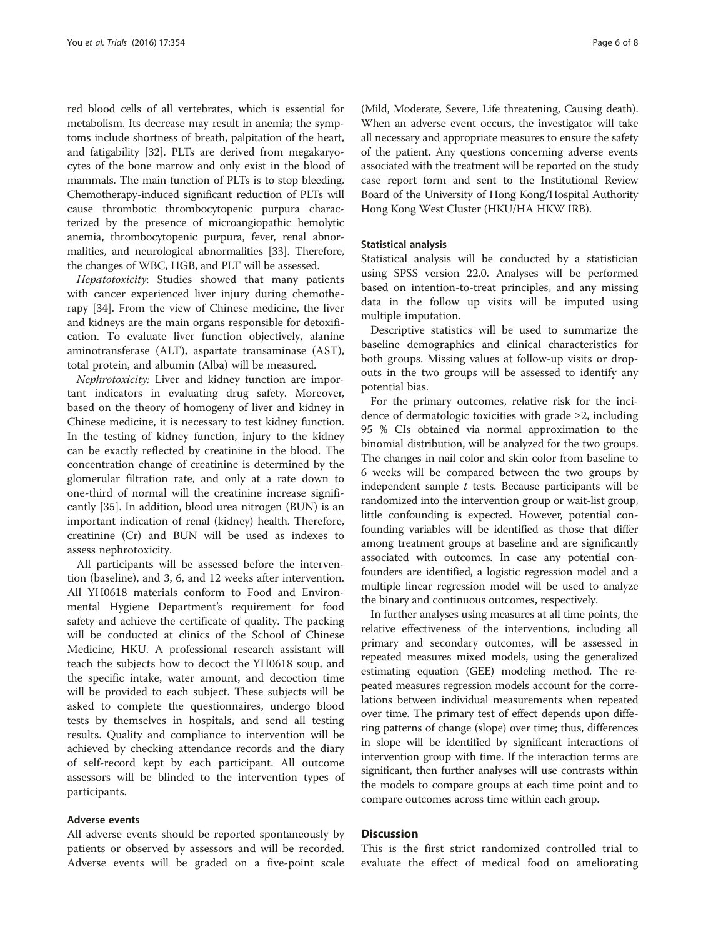red blood cells of all vertebrates, which is essential for metabolism. Its decrease may result in anemia; the symptoms include shortness of breath, palpitation of the heart, and fatigability [\[32\]](#page-7-0). PLTs are derived from megakaryocytes of the bone marrow and only exist in the blood of mammals. The main function of PLTs is to stop bleeding. Chemotherapy-induced significant reduction of PLTs will cause thrombotic thrombocytopenic purpura characterized by the presence of microangiopathic hemolytic anemia, thrombocytopenic purpura, fever, renal abnormalities, and neurological abnormalities [\[33](#page-7-0)]. Therefore, the changes of WBC, HGB, and PLT will be assessed.

Hepatotoxicity: Studies showed that many patients with cancer experienced liver injury during chemotherapy [\[34](#page-7-0)]. From the view of Chinese medicine, the liver and kidneys are the main organs responsible for detoxification. To evaluate liver function objectively, alanine aminotransferase (ALT), aspartate transaminase (AST), total protein, and albumin (Alba) will be measured.

Nephrotoxicity: Liver and kidney function are important indicators in evaluating drug safety. Moreover, based on the theory of homogeny of liver and kidney in Chinese medicine, it is necessary to test kidney function. In the testing of kidney function, injury to the kidney can be exactly reflected by creatinine in the blood. The concentration change of creatinine is determined by the glomerular filtration rate, and only at a rate down to one-third of normal will the creatinine increase significantly [\[35](#page-7-0)]. In addition, blood urea nitrogen (BUN) is an important indication of renal (kidney) health. Therefore, creatinine (Cr) and BUN will be used as indexes to assess nephrotoxicity.

All participants will be assessed before the intervention (baseline), and 3, 6, and 12 weeks after intervention. All YH0618 materials conform to Food and Environmental Hygiene Department's requirement for food safety and achieve the certificate of quality. The packing will be conducted at clinics of the School of Chinese Medicine, HKU. A professional research assistant will teach the subjects how to decoct the YH0618 soup, and the specific intake, water amount, and decoction time will be provided to each subject. These subjects will be asked to complete the questionnaires, undergo blood tests by themselves in hospitals, and send all testing results. Quality and compliance to intervention will be achieved by checking attendance records and the diary of self-record kept by each participant. All outcome assessors will be blinded to the intervention types of participants.

#### Adverse events

All adverse events should be reported spontaneously by patients or observed by assessors and will be recorded. Adverse events will be graded on a five-point scale

(Mild, Moderate, Severe, Life threatening, Causing death). When an adverse event occurs, the investigator will take all necessary and appropriate measures to ensure the safety of the patient. Any questions concerning adverse events associated with the treatment will be reported on the study case report form and sent to the Institutional Review Board of the University of Hong Kong/Hospital Authority Hong Kong West Cluster (HKU/HA HKW IRB).

#### Statistical analysis

Statistical analysis will be conducted by a statistician using SPSS version 22.0. Analyses will be performed based on intention-to-treat principles, and any missing data in the follow up visits will be imputed using multiple imputation.

Descriptive statistics will be used to summarize the baseline demographics and clinical characteristics for both groups. Missing values at follow-up visits or dropouts in the two groups will be assessed to identify any potential bias.

For the primary outcomes, relative risk for the incidence of dermatologic toxicities with grade ≥2, including 95 % CIs obtained via normal approximation to the binomial distribution, will be analyzed for the two groups. The changes in nail color and skin color from baseline to 6 weeks will be compared between the two groups by independent sample  $t$  tests. Because participants will be randomized into the intervention group or wait-list group, little confounding is expected. However, potential confounding variables will be identified as those that differ among treatment groups at baseline and are significantly associated with outcomes. In case any potential confounders are identified, a logistic regression model and a multiple linear regression model will be used to analyze the binary and continuous outcomes, respectively.

In further analyses using measures at all time points, the relative effectiveness of the interventions, including all primary and secondary outcomes, will be assessed in repeated measures mixed models, using the generalized estimating equation (GEE) modeling method. The repeated measures regression models account for the correlations between individual measurements when repeated over time. The primary test of effect depends upon differing patterns of change (slope) over time; thus, differences in slope will be identified by significant interactions of intervention group with time. If the interaction terms are significant, then further analyses will use contrasts within the models to compare groups at each time point and to compare outcomes across time within each group.

# **Discussion**

This is the first strict randomized controlled trial to evaluate the effect of medical food on ameliorating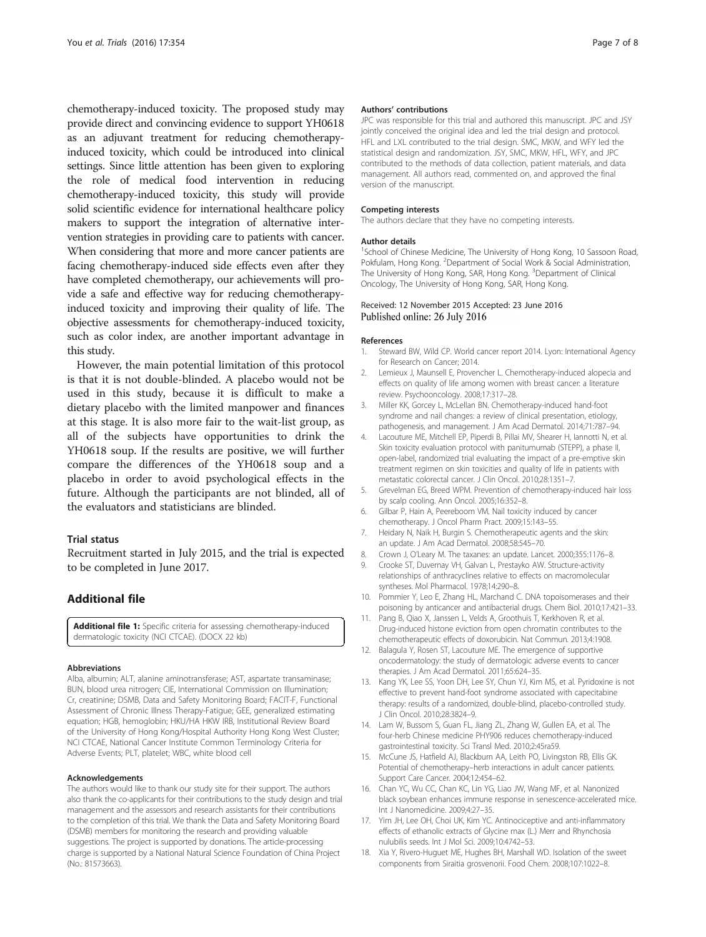<span id="page-6-0"></span>chemotherapy-induced toxicity. The proposed study may provide direct and convincing evidence to support YH0618 as an adjuvant treatment for reducing chemotherapyinduced toxicity, which could be introduced into clinical settings. Since little attention has been given to exploring the role of medical food intervention in reducing chemotherapy-induced toxicity, this study will provide solid scientific evidence for international healthcare policy makers to support the integration of alternative intervention strategies in providing care to patients with cancer. When considering that more and more cancer patients are facing chemotherapy-induced side effects even after they have completed chemotherapy, our achievements will provide a safe and effective way for reducing chemotherapyinduced toxicity and improving their quality of life. The objective assessments for chemotherapy-induced toxicity, such as color index, are another important advantage in this study.

However, the main potential limitation of this protocol is that it is not double-blinded. A placebo would not be used in this study, because it is difficult to make a dietary placebo with the limited manpower and finances at this stage. It is also more fair to the wait-list group, as all of the subjects have opportunities to drink the YH0618 soup. If the results are positive, we will further compare the differences of the YH0618 soup and a placebo in order to avoid psychological effects in the future. Although the participants are not blinded, all of the evaluators and statisticians are blinded.

# Trial status

Recruitment started in July 2015, and the trial is expected to be completed in June 2017.

### Additional file

[Additional file 1:](dx.doi.org/10.1186/s13063-016-1443-9) Specific criteria for assessing chemotherapy-induced dermatologic toxicity (NCI CTCAE). (DOCX 22 kb)

#### Abbreviations

Alba, albumin; ALT, alanine aminotransferase; AST, aspartate transaminase; BUN, blood urea nitrogen; CIE, International Commission on Illumination; Cr, creatinine; DSMB, Data and Safety Monitoring Board; FACIT-F, Functional Assessment of Chronic Illness Therapy-Fatigue; GEE, generalized estimating equation; HGB, hemoglobin; HKU/HA HKW IRB, Institutional Review Board of the University of Hong Kong/Hospital Authority Hong Kong West Cluster; NCI CTCAE, National Cancer Institute Common Terminology Criteria for Adverse Events; PLT, platelet; WBC, white blood cell

#### Acknowledgements

The authors would like to thank our study site for their support. The authors also thank the co-applicants for their contributions to the study design and trial management and the assessors and research assistants for their contributions to the completion of this trial. We thank the Data and Safety Monitoring Board (DSMB) members for monitoring the research and providing valuable suggestions. The project is supported by donations. The article-processing charge is supported by a National Natural Science Foundation of China Project (No.: 81573663)

#### Authors' contributions

JPC was responsible for this trial and authored this manuscript. JPC and JSY jointly conceived the original idea and led the trial design and protocol. HFL and LXL contributed to the trial design. SMC, MKW, and WFY led the statistical design and randomization. JSY, SMC, MKW, HFL, WFY, and JPC contributed to the methods of data collection, patient materials, and data management. All authors read, commented on, and approved the final version of the manuscript.

#### Competing interests

The authors declare that they have no competing interests.

#### Author details

<sup>1</sup>School of Chinese Medicine, The University of Hong Kong, 10 Sassoon Road Pokfulam, Hong Kong. <sup>2</sup>Department of Social Work & Social Administration The University of Hong Kong, SAR, Hong Kong. <sup>3</sup>Department of Clinical Oncology, The University of Hong Kong, SAR, Hong Kong.

#### Received: 12 November 2015 Accepted: 23 June 2016 Published online: 26 July 2016

#### References

- 1. Steward BW, Wild CP. World cancer report 2014. Lyon: International Agency for Research on Cancer; 2014.
- 2. Lemieux J, Maunsell E, Provencher L. Chemotherapy-induced alopecia and effects on quality of life among women with breast cancer: a literature review. Psychooncology. 2008;17:317–28.
- 3. Miller KK, Gorcey L, McLellan BN. Chemotherapy-induced hand-foot syndrome and nail changes: a review of clinical presentation, etiology, pathogenesis, and management. J Am Acad Dermatol. 2014;71:787–94.
- 4. Lacouture ME, Mitchell EP, Piperdi B, Pillai MV, Shearer H, Iannotti N, et al. Skin toxicity evaluation protocol with panitumumab (STEPP), a phase II, open-label, randomized trial evaluating the impact of a pre-emptive skin treatment regimen on skin toxicities and quality of life in patients with metastatic colorectal cancer. J Clin Oncol. 2010;28:1351–7.
- 5. Grevelman EG, Breed WPM. Prevention of chemotherapy-induced hair loss by scalp cooling. Ann Oncol. 2005;16:352–8.
- 6. Gilbar P, Hain A, Peereboom VM. Nail toxicity induced by cancer chemotherapy. J Oncol Pharm Pract. 2009;15:143–55.
- 7. Heidary N, Naik H, Burgin S. Chemotherapeutic agents and the skin: an update. J Am Acad Dermatol. 2008;58:545–70.
- 8. Crown J, O'Leary M. The taxanes: an update. Lancet. 2000;355:1176–8.
- 9. Crooke ST, Duvernay VH, Galvan L, Prestayko AW. Structure-activity relationships of anthracyclines relative to effects on macromolecular syntheses. Mol Pharmacol. 1978;14:290–8.
- 10. Pommier Y, Leo E, Zhang HL, Marchand C. DNA topoisomerases and their poisoning by anticancer and antibacterial drugs. Chem Biol. 2010;17:421–33.
- 11. Pang B, Qiao X, Janssen L, Velds A, Groothuis T, Kerkhoven R, et al. Drug-induced histone eviction from open chromatin contributes to the chemotherapeutic effects of doxorubicin. Nat Commun. 2013;4:1908.
- 12. Balagula Y, Rosen ST, Lacouture ME. The emergence of supportive oncodermatology: the study of dermatologic adverse events to cancer therapies. J Am Acad Dermatol. 2011;65:624–35.
- 13. Kang YK, Lee SS, Yoon DH, Lee SY, Chun YJ, Kim MS, et al. Pyridoxine is not effective to prevent hand-foot syndrome associated with capecitabine therapy: results of a randomized, double-blind, placebo-controlled study. J Clin Oncol. 2010;28:3824–9.
- 14. Lam W, Bussom S, Guan FL, Jiang ZL, Zhang W, Gullen EA, et al. The four-herb Chinese medicine PHY906 reduces chemotherapy-induced gastrointestinal toxicity. Sci Transl Med. 2010;2:45ra59.
- 15. McCune JS, Hatfield AJ, Blackburn AA, Leith PO, Livingston RB, Ellis GK. Potential of chemotherapy–herb interactions in adult cancer patients. Support Care Cancer. 2004;12:454–62.
- 16. Chan YC, Wu CC, Chan KC, Lin YG, Liao JW, Wang MF, et al. Nanonized black soybean enhances immune response in senescence-accelerated mice. Int J Nanomedicine. 2009;4:27–35.
- 17. Yim JH, Lee OH, Choi UK, Kim YC. Antinociceptive and anti-inflammatory effects of ethanolic extracts of Glycine max (L.) Merr and Rhynchosia nulubilis seeds. Int J Mol Sci. 2009;10:4742–53.
- 18. Xia Y, Rivero-Huguet ME, Hughes BH, Marshall WD. Isolation of the sweet components from Siraitia grosvenorii. Food Chem. 2008;107:1022–8.